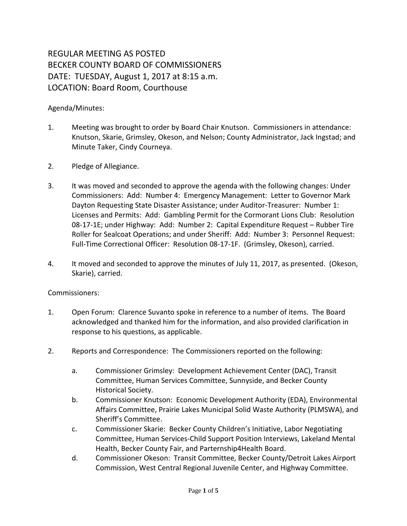## REGULAR MEETING AS POSTED BECKER COUNTY BOARD OF COMMISSIONERS DATE: TUESDAY, August 1, 2017 at 8:15 a.m. LOCATION: Board Room, Courthouse

## Agenda/Minutes:

- 1. Meeting was brought to order by Board Chair Knutson. Commissioners in attendance: Knutson, Skarie, Grimsley, Okeson, and Nelson; County Administrator, Jack Ingstad; and Minute Taker, Cindy Courneya.
- 2. Pledge of Allegiance.
- 3. It was moved and seconded to approve the agenda with the following changes: Under Commissioners: Add: Number 4: Emergency Management: Letter to Governor Mark Dayton Requesting State Disaster Assistance; under Auditor-Treasurer: Number 1: Licenses and Permits: Add: Gambling Permit for the Cormorant Lions Club: Resolution 08-17-1E; under Highway: Add: Number 2: Capital Expenditure Request – Rubber Tire Roller for Sealcoat Operations; and under Sheriff: Add: Number 3: Personnel Request: Full-Time Correctional Officer: Resolution 08-17-1F. (Grimsley, Okeson), carried.
- 4. It moved and seconded to approve the minutes of July 11, 2017, as presented. (Okeson, Skarie), carried.

## Commissioners:

- 1. Open Forum: Clarence Suvanto spoke in reference to a number of items. The Board acknowledged and thanked him for the information, and also provided clarification in response to his questions, as applicable.
- 2. Reports and Correspondence: The Commissioners reported on the following:
	- a. Commissioner Grimsley: Development Achievement Center (DAC), Transit Committee, Human Services Committee, Sunnyside, and Becker County Historical Society.
	- b. Commissioner Knutson: Economic Development Authority (EDA), Environmental Affairs Committee, Prairie Lakes Municipal Solid Waste Authority (PLMSWA), and Sheriff's Committee.
	- c. Commissioner Skarie: Becker County Children's Initiative, Labor Negotiating Committee, Human Services-Child Support Position Interviews, Lakeland Mental Health, Becker County Fair, and Parternship4Health Board.
	- d. Commissioner Okeson: Transit Committee, Becker County/Detroit Lakes Airport Commission, West Central Regional Juvenile Center, and Highway Committee.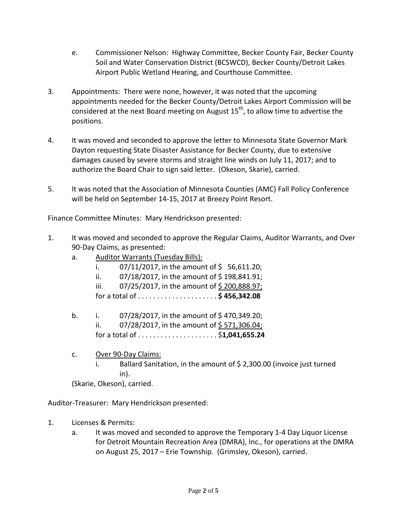- e. Commissioner Nelson: Highway Committee, Becker County Fair, Becker County Soil and Water Conservation District (BCSWCD), Becker County/Detroit Lakes Airport Public Wetland Hearing, and Courthouse Committee.
- 3. Appointments: There were none, however, it was noted that the upcoming appointments needed for the Becker County/Detroit Lakes Airport Commission will be considered at the next Board meeting on August  $15<sup>th</sup>$ , to allow time to advertise the positions.
- 4. It was moved and seconded to approve the letter to Minnesota State Governor Mark Dayton requesting State Disaster Assistance for Becker County, due to extensive damages caused by severe storms and straight line winds on July 11, 2017; and to authorize the Board Chair to sign said letter. (Okeson, Skarie), carried.
- 5. It was noted that the Association of Minnesota Counties (AMC) Fall Policy Conference will be held on September 14-15, 2017 at Breezy Point Resort.

Finance Committee Minutes: Mary Hendrickson presented:

- 1. It was moved and seconded to approve the Regular Claims, Auditor Warrants, and Over 90-Day Claims, as presented:
	- a. Auditor Warrants (Tuesday Bills):
		- i.  $07/11/2017$ , in the amount of \$ 56,611.20;
		- ii.  $07/18/2017$ , in the amount of \$198,841.91;
		- iii. 07/25/2017, in the amount of \$200,888.97;
		- for a total of . . . . . . . . . . . . . . . . . . . . . **\$ 456,342.08**
	- b. i.  $07/28/2017$ , in the amount of \$470,349.20; ii. 07/28/2017, in the amount of  $$571,306.04$ ; for a total of . . . . . . . . . . . . . . . . . . . . . \$**1,041,655.24**
	- c. Over 90-Day Claims:
		- i. Ballard Sanitation, in the amount of \$2,300.00 (invoice just turned in).

(Skarie, Okeson), carried.

Auditor-Treasurer: Mary Hendrickson presented:

- 1. Licenses & Permits:
	- a. It was moved and seconded to approve the Temporary 1-4 Day Liquor License for Detroit Mountain Recreation Area (DMRA), Inc., for operations at the DMRA on August 25, 2017 – Erie Township. (Grimsley, Okeson), carried.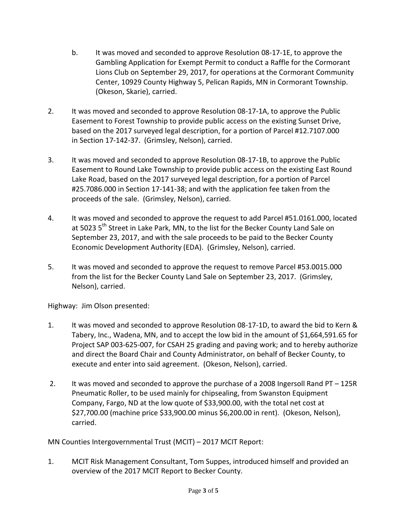- b. It was moved and seconded to approve Resolution 08-17-1E, to approve the Gambling Application for Exempt Permit to conduct a Raffle for the Cormorant Lions Club on September 29, 2017, for operations at the Cormorant Community Center, 10929 County Highway 5, Pelican Rapids, MN in Cormorant Township. (Okeson, Skarie), carried.
- 2. It was moved and seconded to approve Resolution 08-17-1A, to approve the Public Easement to Forest Township to provide public access on the existing Sunset Drive, based on the 2017 surveyed legal description, for a portion of Parcel #12.7107.000 in Section 17-142-37. (Grimsley, Nelson), carried.
- 3. It was moved and seconded to approve Resolution 08-17-1B, to approve the Public Easement to Round Lake Township to provide public access on the existing East Round Lake Road, based on the 2017 surveyed legal description, for a portion of Parcel #25.7086.000 in Section 17-141-38; and with the application fee taken from the proceeds of the sale. (Grimsley, Nelson), carried.
- 4. It was moved and seconded to approve the request to add Parcel #51.0161.000, located at 5023 5<sup>th</sup> Street in Lake Park, MN, to the list for the Becker County Land Sale on September 23, 2017, and with the sale proceeds to be paid to the Becker County Economic Development Authority (EDA). (Grimsley, Nelson), carried.
- 5. It was moved and seconded to approve the request to remove Parcel #53.0015.000 from the list for the Becker County Land Sale on September 23, 2017. (Grimsley, Nelson), carried.

Highway: Jim Olson presented:

- 1. It was moved and seconded to approve Resolution 08-17-1D, to award the bid to Kern & Tabery, Inc., Wadena, MN, and to accept the low bid in the amount of \$1,664,591.65 for Project SAP 003-625-007, for CSAH 25 grading and paving work; and to hereby authorize and direct the Board Chair and County Administrator, on behalf of Becker County, to execute and enter into said agreement. (Okeson, Nelson), carried.
- 2. It was moved and seconded to approve the purchase of a 2008 Ingersoll Rand PT 125R Pneumatic Roller, to be used mainly for chipsealing, from Swanston Equipment Company, Fargo, ND at the low quote of \$33,900.00, with the total net cost at \$27,700.00 (machine price \$33,900.00 minus \$6,200.00 in rent). (Okeson, Nelson), carried.

MN Counties Intergovernmental Trust (MCIT) – 2017 MCIT Report:

1. MCIT Risk Management Consultant, Tom Suppes, introduced himself and provided an overview of the 2017 MCIT Report to Becker County.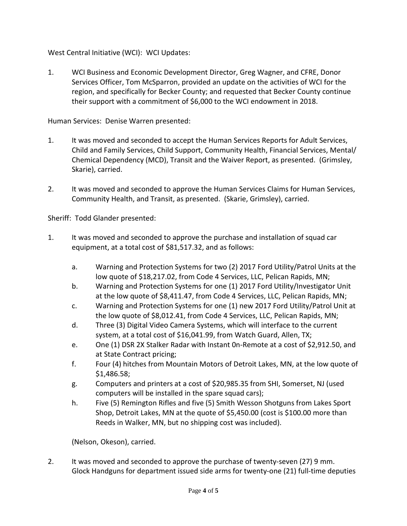West Central Initiative (WCI): WCI Updates:

1. WCI Business and Economic Development Director, Greg Wagner, and CFRE, Donor Services Officer, Tom McSparron, provided an update on the activities of WCI for the region, and specifically for Becker County; and requested that Becker County continue their support with a commitment of \$6,000 to the WCI endowment in 2018.

Human Services: Denise Warren presented:

- 1. It was moved and seconded to accept the Human Services Reports for Adult Services, Child and Family Services, Child Support, Community Health, Financial Services, Mental/ Chemical Dependency (MCD), Transit and the Waiver Report, as presented. (Grimsley, Skarie), carried.
- 2. It was moved and seconded to approve the Human Services Claims for Human Services, Community Health, and Transit, as presented. (Skarie, Grimsley), carried.

Sheriff: Todd Glander presented:

- 1. It was moved and seconded to approve the purchase and installation of squad car equipment, at a total cost of \$81,517.32, and as follows:
	- a. Warning and Protection Systems for two (2) 2017 Ford Utility/Patrol Units at the low quote of \$18,217.02, from Code 4 Services, LLC, Pelican Rapids, MN;
	- b. Warning and Protection Systems for one (1) 2017 Ford Utility/Investigator Unit at the low quote of \$8,411.47, from Code 4 Services, LLC, Pelican Rapids, MN;
	- c. Warning and Protection Systems for one (1) new 2017 Ford Utility/Patrol Unit at the low quote of \$8,012.41, from Code 4 Services, LLC, Pelican Rapids, MN;
	- d. Three (3) Digital Video Camera Systems, which will interface to the current system, at a total cost of \$16,041.99, from Watch Guard, Allen, TX;
	- e. One (1) DSR 2X Stalker Radar with Instant 0n-Remote at a cost of \$2,912.50, and at State Contract pricing;
	- f. Four (4) hitches from Mountain Motors of Detroit Lakes, MN, at the low quote of \$1,486.58;
	- g. Computers and printers at a cost of \$20,985.35 from SHI, Somerset, NJ (used computers will be installed in the spare squad cars);
	- h. Five (5) Remington Rifles and five (5) Smith Wesson Shotguns from Lakes Sport Shop, Detroit Lakes, MN at the quote of \$5,450.00 (cost is \$100.00 more than Reeds in Walker, MN, but no shipping cost was included).

(Nelson, Okeson), carried.

2. It was moved and seconded to approve the purchase of twenty-seven (27) 9 mm. Glock Handguns for department issued side arms for twenty-one (21) full-time deputies